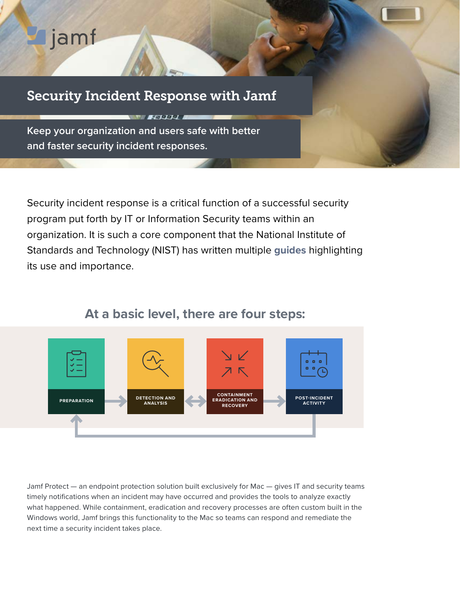# gjamf

## Security Incident Response with Jamf

**BEATAL** 

**Keep your organization and users safe with better and faster security incident responses.**

Security incident response is a critical function of a successful security program put forth by IT or Information Security teams within an organization. It is such a core component that the National Institute of Standards and Technology (NIST) has written multiple **[guides](https://www.nist.gov/cyberframework/respond)** highlighting its use and importance.



## **At a basic level, there are four steps:**

Jamf Protect — an endpoint protection solution built exclusively for Mac — gives IT and security teams timely notifications when an incident may have occurred and provides the tools to analyze exactly what happened. While containment, eradication and recovery processes are often custom built in the Windows world, Jamf brings this functionality to the Mac so teams can respond and remediate the next time a security incident takes place.